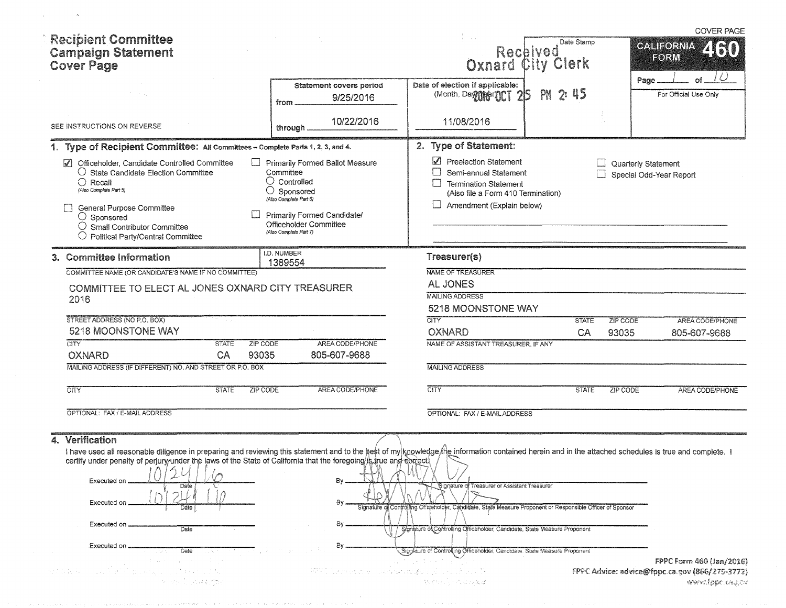| <b>Recipient Committee</b><br><b>Campaign Statement</b><br><b>Cover Page</b>                                                                                                                                                                                                                                                                                                                                                                                            |                                                                                                                                                                                                      | Received<br><b>Oxnard City Clerk</b>                                                                                                                                                                                                                                                                                    | Date Stamp                                     | <b>COVER PAGE</b><br><b>CALIFORNIA</b><br>ZISO)<br>FORM                                        |
|-------------------------------------------------------------------------------------------------------------------------------------------------------------------------------------------------------------------------------------------------------------------------------------------------------------------------------------------------------------------------------------------------------------------------------------------------------------------------|------------------------------------------------------------------------------------------------------------------------------------------------------------------------------------------------------|-------------------------------------------------------------------------------------------------------------------------------------------------------------------------------------------------------------------------------------------------------------------------------------------------------------------------|------------------------------------------------|------------------------------------------------------------------------------------------------|
|                                                                                                                                                                                                                                                                                                                                                                                                                                                                         | Statement covers period<br>9/25/2016<br>from                                                                                                                                                         | Date of election if applicable:<br>(Month, Day Mer OCT 215                                                                                                                                                                                                                                                              | PH 2:45                                        | Ô<br>Page<br>Οf<br>For Official Use Only                                                       |
| SEE INSTRUCTIONS ON REVERSE                                                                                                                                                                                                                                                                                                                                                                                                                                             | 10/22/2016<br>through                                                                                                                                                                                | 11/08/2016                                                                                                                                                                                                                                                                                                              |                                                |                                                                                                |
| 1. Type of Recipient Committee: All Committees - Complete Parts 1, 2, 3, and 4.                                                                                                                                                                                                                                                                                                                                                                                         |                                                                                                                                                                                                      | 2. Type of Statement:                                                                                                                                                                                                                                                                                                   |                                                |                                                                                                |
| Officeholder, Candidate Controlled Committee<br>$\blacktriangledown$<br>$\bigcirc$ State Candidate Election Committee<br>$\bigcirc$ Recall<br>(Also Complete Part 5)<br>General Purpose Committee<br>$\bigcirc$ Sponsored<br>$\bigcirc$ Small Contributor Committee<br>$\bigcirc$ Political Party/Central Committee                                                                                                                                                     | Primarily Formed Ballot Measure<br>Committee<br>$\bigcirc$ Controlled<br>Sponsored<br>O<br>(Also Complete Part 6)<br>Primarily Formed Candidate/<br>Officeholder Committee<br>(Also Complete Part 7) | Preelection Statement<br>Semi-annual Statement<br><b>Termination Statement</b><br>(Also file a Form 410 Termination)<br>Amendment (Explain below)                                                                                                                                                                       |                                                | Quarterly Statement<br>Special Odd-Year Report                                                 |
| 3. Committee Information                                                                                                                                                                                                                                                                                                                                                                                                                                                | I.D. NUMBER<br>1389554                                                                                                                                                                               | Treasurer(s)                                                                                                                                                                                                                                                                                                            |                                                |                                                                                                |
| COMMITTEE NAME (OR CANDIDATE'S NAME IF NO COMMITTEE)<br>COMMITTEE TO ELECT AL JONES OXNARD CITY TREASURER<br>2016                                                                                                                                                                                                                                                                                                                                                       |                                                                                                                                                                                                      | NAME OF TREASURER<br><b>AL JONES</b><br><b>MAILING ADDRESS</b><br>5218 MOONSTONE WAY                                                                                                                                                                                                                                    |                                                |                                                                                                |
| STREET ADDRESS (NO P.O. BOX)<br>5218 MOONSTONE WAY                                                                                                                                                                                                                                                                                                                                                                                                                      |                                                                                                                                                                                                      | <b>CITY</b><br><b>OXNARD</b>                                                                                                                                                                                                                                                                                            | <b>STATE</b><br><b>ZIP CODE</b><br>CA<br>93035 | AREA CODE/PHONE<br>805-607-9688                                                                |
| CTY<br><b>STATE</b><br>ZIP CODE<br>93035<br><b>OXNARD</b><br>CA                                                                                                                                                                                                                                                                                                                                                                                                         | AREA CODE/PHONE<br>805-607-9688                                                                                                                                                                      | NAME OF ASSISTANT TREASURER, IF ANY                                                                                                                                                                                                                                                                                     |                                                |                                                                                                |
| MAILING ADDRESS (IF DIFFERENT) NO. AND STREET OR P.O. BOX                                                                                                                                                                                                                                                                                                                                                                                                               |                                                                                                                                                                                                      | <b>MAILING ADDRESS</b>                                                                                                                                                                                                                                                                                                  |                                                |                                                                                                |
| <b>CITY</b><br><b>STATE</b><br>ZIP CODE                                                                                                                                                                                                                                                                                                                                                                                                                                 | AREA CODE/PHONE                                                                                                                                                                                      | <b>CITY</b>                                                                                                                                                                                                                                                                                                             | <b>STATE</b><br><b>ZIP CODE</b>                | AREA CODE/PHONE                                                                                |
| OPTIONAL: FAX / E-MAIL ADDRESS                                                                                                                                                                                                                                                                                                                                                                                                                                          |                                                                                                                                                                                                      | OPTIONAL: FAX / E-MAIL ADDRESS                                                                                                                                                                                                                                                                                          |                                                |                                                                                                |
| Verification<br>4.<br>I have used all reasonable diligence in preparing and reviewing this statement and to the hest of my knowledge the information contained herein and in the attached schedules is true and complete. I<br>certify under penalty of perjury under the laws of the State of California that the foregoing is true and sortect.<br>$1\wedge 1\wedge 1\vee 1\vee $<br>Executed on<br>Date<br>Executed on<br>Executed on<br>Date<br>Executed on<br>Date | By.                                                                                                                                                                                                  | Signature of Treasurer or Assistant Treasurer<br>Signature of Controlling Of idenoider, Candidate, State Measure Proponent or Responsible Officer of Sponsor<br>Signature of Controlling Officeholder, Candidate, State Measure Proponent<br>Sigglature of Controlling Officeholder, Candidate. State Measure Proponent |                                                |                                                                                                |
|                                                                                                                                                                                                                                                                                                                                                                                                                                                                         | PPP Discrete and University address [5] Tell August N                                                                                                                                                | <b>Secretary Production</b>                                                                                                                                                                                                                                                                                             |                                                | FPPC Form 460 (Jan/2016)<br>FPPC Advice: advice@fppc.ca.gov (866/275-3772)<br>«www.fppc.ca.gov |

 $\langle \cdot, \hat{S} \rangle$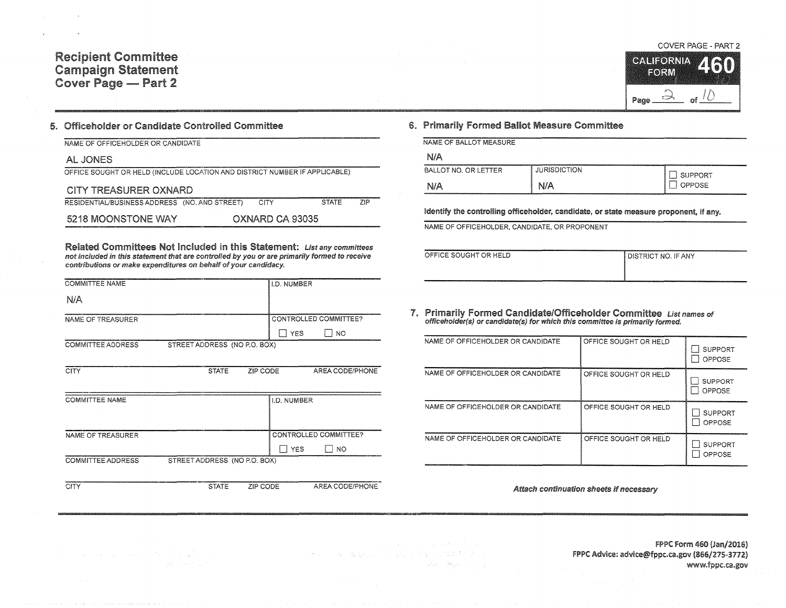### Committee Campaign Statement Cover Page — Part 2

#### 5. Officeholder or Candidate Controlled Committee

| NAME OF OFFICEHOLDER OR CANDIDATE                                          |                 |              |     |
|----------------------------------------------------------------------------|-----------------|--------------|-----|
| AL JONES                                                                   |                 |              |     |
| OFFICE SOUGHT OR HELD (INCLUDE LOCATION AND DISTRICT NUMBER IF APPLICABLE) |                 |              |     |
| CITY TREASURER OXNARD                                                      |                 |              |     |
| RESIDENTIAL/BUSINESS ADDRESS (NO, AND STREET)                              | CITY            | <b>STATE</b> | ZIP |
| 5218 MOONSTONE WAY                                                         | OXNARD CA 93035 |              |     |

Related Committees Not Included in this Statement: List any committees not included in this statement that are controlled by you or are primarily formed to receive contributions or make expenditures on behalf of your candidacy.

| <b>COMMITTEE NAME</b>    |                              |          | I.D. NUMBER  |                              |  |
|--------------------------|------------------------------|----------|--------------|------------------------------|--|
| N/A                      |                              |          |              |                              |  |
| NAME OF TREASURER        |                              |          |              | CONTROLLED COMMITTEE?        |  |
|                          |                              |          | <b>I</b> YES | I NO                         |  |
| <b>COMMITTEE ADDRESS</b> | STREET ADDRESS (NO P.O. BOX) |          |              |                              |  |
|                          |                              |          |              |                              |  |
| <b>CITY</b>              | <b>STATE</b>                 | ZIP CODE |              | AREA CODE/PHONE              |  |
|                          |                              |          |              |                              |  |
| <b>COMMITTEE NAME</b>    |                              |          | I.D. NUMBER  |                              |  |
|                          |                              |          |              |                              |  |
|                          |                              |          |              |                              |  |
| NAME OF TREASURER        |                              |          |              | <b>CONTROLLED COMMITTEE?</b> |  |
|                          |                              |          | <b>YES</b>   | NO.                          |  |
| <b>COMMITTEE ADDRESS</b> | STREET ADDRESS (NO P.O. BOX) |          |              |                              |  |
|                          |                              |          |              |                              |  |

 $\label{eq:2} \mathcal{F}(\mathcal{E}) = \mathcal{F}(\mathcal{E}) + \mathcal{F}(\mathcal{E})$ 

CITY STATE ZIP CODE AREA CODE/PHONE

### 6. Primarily Formed Ballot Measure Committee

|      |  | NAME OF BALLOT MEASURE |  |
|------|--|------------------------|--|
| NI/A |  |                        |  |

| .<br><b>AAAAAAAAAAAAAAAAAAAAAAAAAAA</b> |                     |                                                                                                                                                                                         |
|-----------------------------------------|---------------------|-----------------------------------------------------------------------------------------------------------------------------------------------------------------------------------------|
| BALLOT NO. OR LETTER                    | <b>JURISDICTION</b> | THE ANTIFICATION CONTINUES IN THE SERVICE CONTINUES.<br><b>Sectional decomposition of the second contract of the contract of the second contract of the contract of the </b><br>SUPPORT |
| N/A                                     | N/A                 | <b>PPOSE</b>                                                                                                                                                                            |

Identify the controlling officeholder, candidate, or state measure proponent, if any.

NAME OF OFFICEHOLDER, CANDIDATE, OR PROPONENT

| _______________       | _____                        |
|-----------------------|------------------------------|
| OFFICE SOUGHT OR HELD | <b>I DISTRICT NO. IF ANY</b> |
|                       |                              |
|                       |                              |

# 7. Primarily Formed Candidate/Officeholder Committee List names of officeholder(s) or candidate(s) for which this committee is primarily formed.

| NAME OF OFFICEHOLDER OR CANDIDATE | OFFICE SOUGHT OR HELD | <b>SUPPORT</b><br>OPPOSE        |
|-----------------------------------|-----------------------|---------------------------------|
| NAME OF OFFICEHOLDER OR CANDIDATE | OFFICE SOUGHT OR HELD | <b>SUPPORT</b><br><b>OPPOSE</b> |
| NAME OF OFFICEHOLDER OR CANDIDATE | OFFICE SOUGHT OR HELD | <b>SUPPORT</b><br><b>OPPOSE</b> |
| NAME OF OFFICEHOLDER OR CANDIDATE | OFFICE SOUGHT OR HELD | <b>SUPPORT</b><br>OPPOSE        |

#### Attach continuation sheets if necessary

COVER PAGE - PART 2

CALIFORNIA FORM  $\Rightarrow$ 4U Page.  $\alpha^{\epsilon}$ 

de carte en l'espace de la carte de la Suid-Swar

FPPC form 460 {Jan/2016) f PPC Advice: advice@fppc.ca.gov !866/275-3172) www.fppc.ca.gov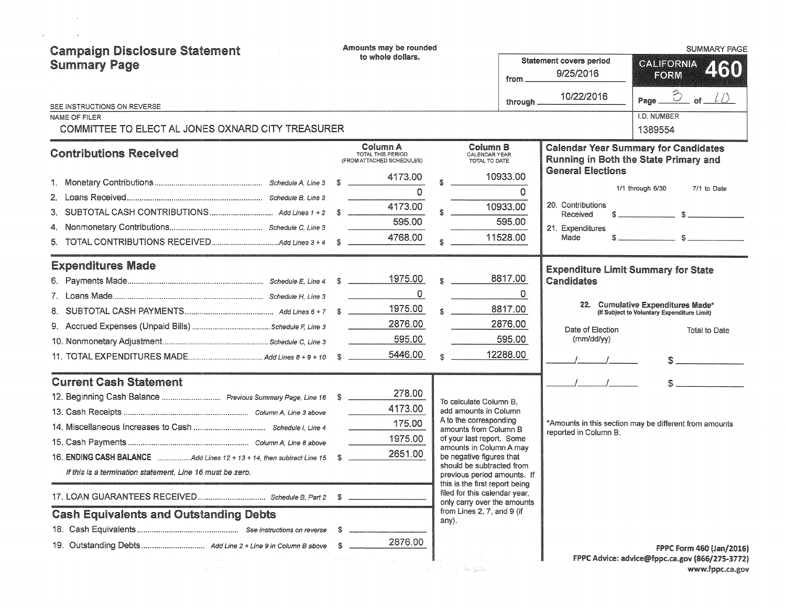| <b>Campaign Disclosure Statement</b><br><b>Summary Page</b>           | to whole dollars. |                                                            | Amounts may be rounded |                                                                                            |          | from                                       | <b>Statement covers period</b><br>9/25/2016                                                                                                                                                                                                                                                                         | <b>SUMMARY PAGE</b><br><b>CALIFORNIA</b><br>2130<br>FORM |
|-----------------------------------------------------------------------|-------------------|------------------------------------------------------------|------------------------|--------------------------------------------------------------------------------------------|----------|--------------------------------------------|---------------------------------------------------------------------------------------------------------------------------------------------------------------------------------------------------------------------------------------------------------------------------------------------------------------------|----------------------------------------------------------|
| SEE INSTRUCTIONS ON REVERSE                                           |                   |                                                            |                        |                                                                                            | through  | 10/22/2016                                 | $\hat{c}$<br>of<br>Page.                                                                                                                                                                                                                                                                                            |                                                          |
| NAME OF FILER<br>COMMITTEE TO ELECT AL JONES OXNARD CITY TREASURER    |                   |                                                            |                        |                                                                                            |          |                                            | I.D. NUMBER<br>1389554                                                                                                                                                                                                                                                                                              |                                                          |
| <b>Contributions Received</b>                                         |                   | Column A<br>TOTAL THIS PERIOD<br>(FROM ATTACHED SCHEDULES) |                        | Column B<br>CALENDAR YEAR<br>TOTAL TO DATE                                                 |          |                                            | <b>Calendar Year Summary for Candidates</b><br>Running in Both the State Primary and                                                                                                                                                                                                                                |                                                          |
|                                                                       |                   | 4173.00                                                    |                        | 10933.00                                                                                   |          | <b>General Elections</b>                   |                                                                                                                                                                                                                                                                                                                     |                                                          |
|                                                                       |                   | $\Omega$                                                   |                        |                                                                                            | 0        |                                            | 1/1 through 6/30<br>7/1 to Date                                                                                                                                                                                                                                                                                     |                                                          |
| 3.                                                                    | - \$              | 4173.00                                                    |                        | 10933.00                                                                                   |          | 20. Contributions<br>Received              |                                                                                                                                                                                                                                                                                                                     |                                                          |
|                                                                       |                   | 595.00                                                     |                        |                                                                                            | 595.00   | 21. Expenditures                           |                                                                                                                                                                                                                                                                                                                     |                                                          |
|                                                                       |                   | 4768.00                                                    |                        | 11528.00                                                                                   |          | Made                                       | $\frac{1}{2}$ $\frac{1}{2}$ $\frac{1}{2}$ $\frac{1}{2}$ $\frac{1}{2}$ $\frac{1}{2}$ $\frac{1}{2}$ $\frac{1}{2}$ $\frac{1}{2}$ $\frac{1}{2}$ $\frac{1}{2}$ $\frac{1}{2}$ $\frac{1}{2}$ $\frac{1}{2}$ $\frac{1}{2}$ $\frac{1}{2}$ $\frac{1}{2}$ $\frac{1}{2}$ $\frac{1}{2}$ $\frac{1}{2}$ $\frac{1}{2}$ $\frac{1}{2}$ |                                                          |
| <b>Expenditures Made</b>                                              |                   |                                                            |                        |                                                                                            |          | <b>Expenditure Limit Summary for State</b> |                                                                                                                                                                                                                                                                                                                     |                                                          |
|                                                                       |                   | 1975.00                                                    |                        |                                                                                            | 8817.00  | Candidates                                 |                                                                                                                                                                                                                                                                                                                     |                                                          |
|                                                                       |                   | 0                                                          |                        |                                                                                            | 0        |                                            |                                                                                                                                                                                                                                                                                                                     |                                                          |
|                                                                       |                   | 1975.00                                                    |                        |                                                                                            | 8817.00  |                                            | 22. Cumulative Expenditures Made*<br>(If Subject to Voluntary Expenditure Limit)                                                                                                                                                                                                                                    |                                                          |
| 9.                                                                    |                   | 2876.00                                                    |                        |                                                                                            | 2876.00  | Date of Election                           | Total to Date                                                                                                                                                                                                                                                                                                       |                                                          |
|                                                                       |                   | 595.00                                                     |                        |                                                                                            | 595.00   | (mm/dd/yy)                                 |                                                                                                                                                                                                                                                                                                                     |                                                          |
|                                                                       |                   | 5446.00                                                    |                        |                                                                                            | 12288.00 |                                            | $\mathsf{S} \hspace{0.03in} \underbrace{\hspace{0.03in}}$                                                                                                                                                                                                                                                           |                                                          |
| <b>Current Cash Statement</b>                                         |                   |                                                            |                        |                                                                                            |          |                                            |                                                                                                                                                                                                                                                                                                                     |                                                          |
|                                                                       |                   | 278.00                                                     |                        | To calculate Column B.                                                                     |          |                                            |                                                                                                                                                                                                                                                                                                                     |                                                          |
|                                                                       |                   | 4173.00                                                    |                        | add amounts in Column<br>A to the corresponding                                            |          |                                            |                                                                                                                                                                                                                                                                                                                     |                                                          |
|                                                                       |                   | 175.00                                                     |                        | amounts from Column B                                                                      |          | reported in Column B.                      | *Amounts in this section may be different from amounts                                                                                                                                                                                                                                                              |                                                          |
|                                                                       |                   | 1975.00                                                    |                        | of your last report. Some<br>amounts in Column A may                                       |          |                                            |                                                                                                                                                                                                                                                                                                                     |                                                          |
| 16. ENDING CASH BALANCE Add Lines 12 + 13 + 14, then subtract Line 15 |                   | 2651.00                                                    |                        | be negative figures that                                                                   |          |                                            |                                                                                                                                                                                                                                                                                                                     |                                                          |
| If this is a termination statement. Line 16 must be zero.             |                   |                                                            |                        | should be subtracted from<br>previous period amounts. If<br>this is the first report being |          |                                            |                                                                                                                                                                                                                                                                                                                     |                                                          |
|                                                                       |                   |                                                            |                        | filed for this calendar year,<br>only carry over the amounts                               |          |                                            |                                                                                                                                                                                                                                                                                                                     |                                                          |
| <b>Cash Equivalents and Outstanding Debts</b>                         |                   |                                                            |                        | from Lines 2, 7, and 9 (if<br>any).                                                        |          |                                            |                                                                                                                                                                                                                                                                                                                     |                                                          |
|                                                                       | S                 |                                                            |                        |                                                                                            |          |                                            |                                                                                                                                                                                                                                                                                                                     |                                                          |
| The company of the<br>ang pangkapat pang                              | - 3               | 2876.00<br>$\sim$ $\sim$                                   |                        | 내가 된다. 최고 숫화                                                                               |          |                                            | FPPC Form 460 (Jan/2016)<br>FPPC Advice: advice@fppc.ca.gov (866/275-3772)<br>www.fppc.ca.gov                                                                                                                                                                                                                       |                                                          |

 $\label{eq:2.1} \mathcal{L}(\mathcal{A})=\mathcal{L}(\mathcal{A})\mathcal{L}(\mathcal{A})\mathcal{L}(\mathcal{A})\mathcal{L}(\mathcal{A}).$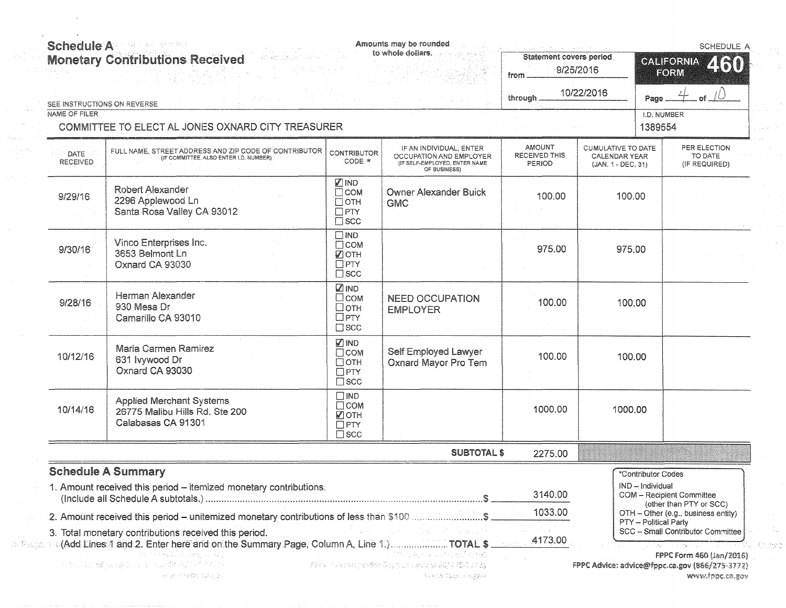|                                              | <b>Monetary Contributions Received</b>                                                                                                                         |                                                                              | to whole dollars.                                                                                   | <b>Statement covers period</b><br>from.         | 9/25/2016                                                 | 460<br><b>GALIFORNIA</b><br>FORM                                           |
|----------------------------------------------|----------------------------------------------------------------------------------------------------------------------------------------------------------------|------------------------------------------------------------------------------|-----------------------------------------------------------------------------------------------------|-------------------------------------------------|-----------------------------------------------------------|----------------------------------------------------------------------------|
| SEE INSTRUCTIONS ON REVERSE<br>NAME OF FILER | rista de cada de                                                                                                                                               |                                                                              |                                                                                                     | through                                         | 10/22/2016                                                | of $\sqrt{U}$<br>Page<br>I.D. NUMBER                                       |
|                                              | COMMITTEE TO ELECT AL JONES OXNARD CITY TREASURER                                                                                                              |                                                                              |                                                                                                     |                                                 |                                                           | 1389554                                                                    |
| DATE<br><b>RECEIVED</b>                      | FULL NAME, STREET ADDRESS AND ZIP CODE OF CONTRIBUTOR<br>(IF COMMITTEE, ALSO ENTER I.D. NUMBER)                                                                | <b>CONTRIBUTOR</b><br>$CODE *$                                               | IF AN INDIVIDUAL, ENTER<br>OCCUPATION AND EMPLOYER<br>(IF SELF-EMPLOYED, ENTER NAME<br>OF BUSINESS) | <b>AMOUNT</b><br><b>RECEIVED THIS</b><br>PERIOD | CUMULATIVE TO DATE<br>CALENDAR YEAR<br>(JAN. 1 - DEC. 31) | PER ELECTION<br>TO DATE<br>(IF REQUIRED)                                   |
| 9/29/16                                      | <b>Robert Alexander</b><br>2296 Applewood Ln<br>Santa Rosa Valley CA 93012                                                                                     | <b>ZIND</b><br>$\Box$ COM<br>$\Box$ OTH<br>$\Box$ PTY<br>$\square$ scc       | <b>Owner Alexander Buick</b><br><b>GMC</b>                                                          | 100.00                                          | 100.00                                                    |                                                                            |
| 9/30/16                                      | Vinco Enterprises Inc.<br>3653 Belmont Ln<br>Oxnard CA 93030                                                                                                   | $\square$ IND<br>$\Box$ COM<br>$\sqrt{2}$ OTH<br>$\Box$ PTY<br>$\square$ scc |                                                                                                     | 975.00                                          | 975.00                                                    |                                                                            |
| 9/28/16                                      | Herman Alexander<br>930 Mesa Dr.<br>Camarillo CA 93010                                                                                                         | <b>ZIND</b><br>$\square$ COM<br>□отн<br>$\Box$ PTY<br>$\square$ scc          | <b>NEED OCCUPATION</b><br><b>EMPLOYER</b>                                                           | 100.00                                          | 100.00                                                    |                                                                            |
| 10/12/16                                     | Maria Carmen Ramirez<br>631 lvywood Dr<br>Oxnard CA 93030                                                                                                      | <b>ZIND</b><br>$\Box$ COM<br>$\Box$ OTH<br>$\Box$ PTY<br>$\square$ scc       | Self Employed Lawyer<br>Oxnard Mayor Pro Tem                                                        | 100.00                                          | 100.00                                                    |                                                                            |
| 10/14/16                                     | <b>Applied Merchant Systems</b><br>26775 Malibu Hills Rd. Ste 200<br>Calabasas CA 91301                                                                        | $\square$ IND<br>$\Box$ COM<br>■ОТН<br>$\Box$ PTY<br>$\square$ scc           |                                                                                                     | 1000.00                                         | 1000.00                                                   |                                                                            |
|                                              |                                                                                                                                                                |                                                                              | <b>SUBTOTAL \$</b>                                                                                  | 2275.00                                         |                                                           |                                                                            |
|                                              | <b>Schedule A Summary</b><br>1. Amount received this period - itemized monetary contributions.                                                                 |                                                                              |                                                                                                     | 3140.00                                         |                                                           | *Contributor Codes<br>IND - Individual<br>COM - Recipient Committee        |
|                                              | 2. Amount received this period - unitemized monetary contributions of less than \$100 \$                                                                       |                                                                              |                                                                                                     | 1033.00                                         |                                                           | (other than PTY or SCC)<br>OTH - Other (e.g., business entity)             |
|                                              | 3. Total monetary contributions received this period.<br>\$ المتحديث السين (Add Eines:4 and 2. Enter here and on the Summary Page, Column A, Line 1.) TOTAL \$ |                                                                              | a francés de<br>a di kacamatan ing Kabupatèn Ka                                                     | 4173.00                                         |                                                           | PTY - Political Party<br>SCC - Small Contributor Committee                 |
|                                              | 39、"大地,死马、海城"以及秦。<br>10. 图书: 2017或148第129日以上, 2017年9月11日本社                                                                                                     |                                                                              | The Captains of Pasificated<br>TYPU TU vees printen Styruur uguv di BQT (115-1, 172)                |                                                 |                                                           | FPPC Form 460 (Jan/2016)<br>FPPC Advice: advice@fppc.ca.gov (866/275-3772) |

 $\label{eq:2.1} \frac{1}{\sqrt{2}}\int_{\mathbb{R}^3}\left|\frac{d\mathbf{x}}{d\mathbf{x}}\right|^2\,d\mathbf{x}^2\,d\mathbf{x}^2\,d\mathbf{x}^2\,d\mathbf{x}^2\,d\mathbf{x}^2\,d\mathbf{x}^2\,d\mathbf{x}^2\,d\mathbf{x}^2\,d\mathbf{x}^2\,d\mathbf{x}^2\,d\mathbf{x}^2\,d\mathbf{x}^2\,d\mathbf{x}^2\,d\mathbf{x}^2\,d\mathbf{x}^2\,d\mathbf{x}^2\,d\mathbf{x}$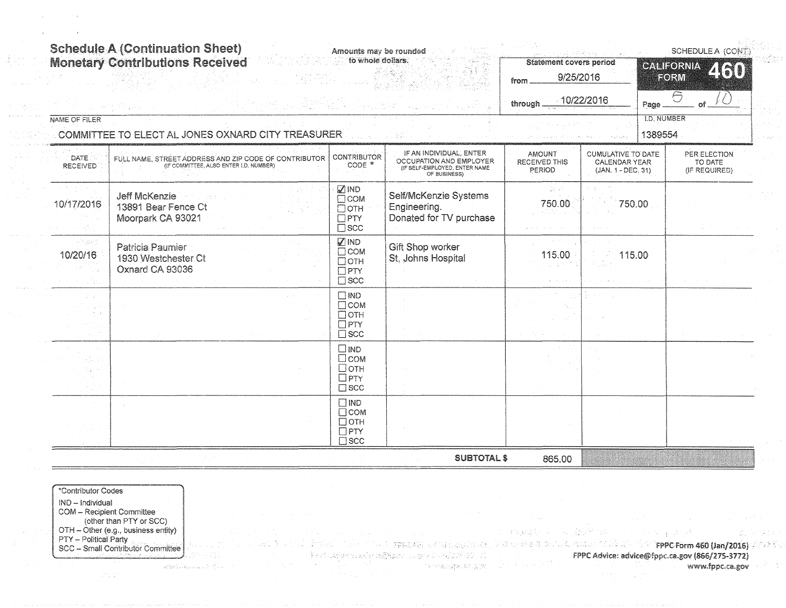|                          | <b>Schedule A (Continuation Sheet)</b><br><b>Monetary Contributions Received</b>                | Amounts may be rounded<br>to whole dollars.                             |                                                                                                     | <b>Statement covers period</b><br>9/25/2016<br>from. | and additional com-                                                     |                               | SCHEDULE A (CONT)<br>CALIFORNIA<br>2130<br>EORM |  |
|--------------------------|-------------------------------------------------------------------------------------------------|-------------------------------------------------------------------------|-----------------------------------------------------------------------------------------------------|------------------------------------------------------|-------------------------------------------------------------------------|-------------------------------|-------------------------------------------------|--|
|                          |                                                                                                 |                                                                         |                                                                                                     | through                                              | $-10/22/2016$                                                           | Page                          | $\Theta$<br>റ്                                  |  |
| NAME OF FILER            | COMMITTEE TO ELECT AL JONES OXNARD CITY TREASURER                                               |                                                                         |                                                                                                     |                                                      |                                                                         | <b>I.D. NUMBER</b><br>1389554 |                                                 |  |
| DATE.<br><b>RECEIVED</b> | FULL NAME, STREET ADDRESS AND ZIP CODE OF CONTRIBUTOR<br>(IF COMMITTEE, ALSO ENTER I.D. NUMBER) | <b>CONTRIBUTOR</b><br>CODE *                                            | IF AN INDIVIDUAL, ENTER<br>OCCUPATION AND EMPLOYER<br>(IF SELF-EMPLOYED, ENTER NAME<br>OF BUSINESS) | <b>AMOUNT</b><br>RECEIVED THIS<br>PERIOD             | <b>CUMULATIVE TO DATE</b><br><b>CALENDAR YEAR</b><br>(JAN. 1 - DEC. 31) |                               | PER ELECTION<br>TO DATE<br>(IF REQUIRED)        |  |
| 10/17/2016               | <b>Jeff McKenzie</b><br>一般性的<br>13891 Bear Fence Ct<br>Moorpark CA 93021                        | <b>Ø</b> IND<br>$\Box$ COM<br>$\Box$ OTH<br>$\Box$ PTY<br>$\square$ scc | Self/McKenzie Systems<br>Engineering.<br>Donated for TV purchase                                    | 20 P<br>750.00                                       | 750.00                                                                  |                               |                                                 |  |
| ri San<br>10/20/16       | Patricia Paumier<br>1930 Westchester Ct<br>Oxnard CA 93036                                      | <b>△IND</b><br>$\Box$ COM<br>$\Box$ OTH<br>$\Box$ PTY<br>$\square$ scc  | Gift Shop worker<br>St, Johns Hospital                                                              | 115.00                                               | 115.00                                                                  |                               |                                                 |  |
|                          |                                                                                                 | $\square$ IND<br>$\Box$ COM<br>$\Box$ OTH<br>$\Box$ PTY<br>$\Box$ scc   |                                                                                                     |                                                      |                                                                         |                               |                                                 |  |
|                          |                                                                                                 | $\square$ IND<br>$\Box$ COM<br>□отн<br>$\Box$ PTY<br>$\square$ scc      |                                                                                                     |                                                      |                                                                         |                               |                                                 |  |
|                          |                                                                                                 | $\Box$ IND<br>$\Box$ COM<br>$\Box$ OTH<br>$\Box$ PTY<br>$\square$ SCC   |                                                                                                     |                                                      |                                                                         |                               |                                                 |  |
|                          |                                                                                                 |                                                                         | <b>SUBTOTAL \$</b>                                                                                  | 865.00                                               |                                                                         |                               |                                                 |  |

\*Contributor Codes IND - Individual **COM** - Recipient Committee (other than PTY or SCC) OTH - Other (e.g., business entity)<br>PTY - Political Party SCC - Small Contributor Committee

 $\mathcal{L}^{\mathcal{O}} \subset \mathcal{L}^{\mathcal{O}}$ 

29-yil 230

 $\label{eq:RMS} RMS(\mathbb{Z},\mathbb{Z})_{\text{QCDM,2}} \lesssim \frac{1}{N} \sum_{i=1}^N \frac{1}{\lambda_i} \sum_{i=1}^N \frac{1}{\lambda_i} \sum_{i=1}^N \frac{1}{\lambda_i} \sum_{i=1}^N \frac{1}{\lambda_i} \sum_{i=1}^N \frac{1}{\lambda_i} \sum_{i=1}^N \frac{1}{\lambda_i} \sum_{i=1}^N \frac{1}{\lambda_i} \sum_{i=1}^N \frac{1}{\lambda_i} \sum_{i=1}^N \frac{1}{\lambda_i} \sum_{i=1}^N \frac{1}{\$ 

 $\mathcal{O}(\mathcal{V}_{\mathrm{c}})$ 

 $\omega \rightarrow \omega$ 

tholes a television of spagnal and exact and this calebra security distributed in the T**referorm 460 (Jan/2016)** Amb Ex  $\hat{\Psi} \in \mathcal{F}^* \times \mathcal{S}^* \times \mathcal{F}^* \times \mathcal{S}^* \times \mathcal{F}^* \times \mathcal{S}^* \times \mathcal{S}^* \times \mathcal{S}^* \times \mathcal{S}^* \times \mathcal{S}^* \times \mathcal{S}^* \times \mathcal{S}^* \times \mathcal{S}^* \times \mathcal{S}^* \times \mathcal{S}^* \times \mathcal{S}^* \times \mathcal{S}^* \times \mathcal{S}^* \times \mathcal{S}^* \times \mathcal{S}^* \times \mathcal{S}^* \times \mathcal$  $\Delta_{\rm 200}$ 医皮肤 医神经 

FPPC Advice: advice@fppc.ca.gov (866/275-3772) in 150 www.fppc.ca.gov

wanging condition of the public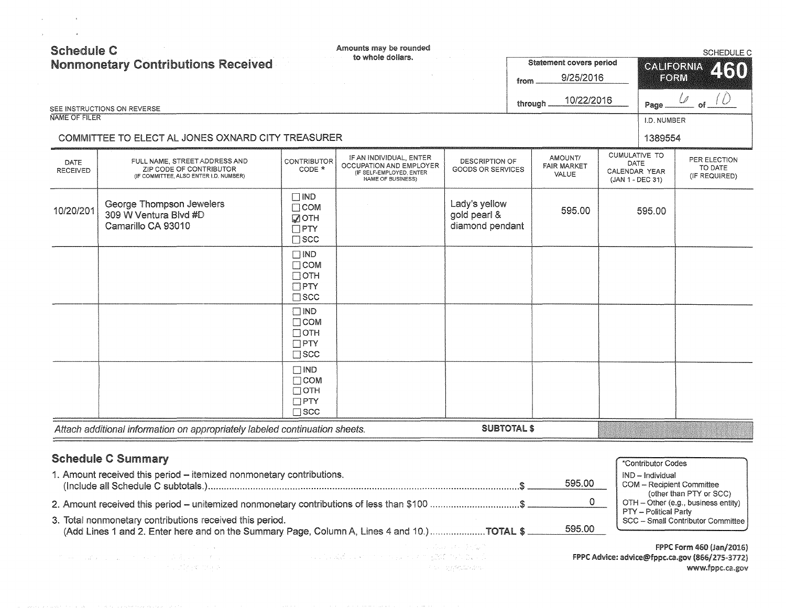|                         | <b>Nonmonetary Contributions Received</b>                                                                                                              |                                                                              | to whole dollars.                                                                                                                                                                                                              |                                                  | from     | <b>Statement covers period</b><br>9/25/2016 | CALIFORNIA<br>FORM                                                | <b>SCHEDULE C</b><br>460                                                                      |
|-------------------------|--------------------------------------------------------------------------------------------------------------------------------------------------------|------------------------------------------------------------------------------|--------------------------------------------------------------------------------------------------------------------------------------------------------------------------------------------------------------------------------|--------------------------------------------------|----------|---------------------------------------------|-------------------------------------------------------------------|-----------------------------------------------------------------------------------------------|
|                         | SEE INSTRUCTIONS ON REVERSE                                                                                                                            |                                                                              |                                                                                                                                                                                                                                |                                                  | through. | 10/22/2016                                  | Page                                                              | ΟŤ.                                                                                           |
| <b>NAME OF FILER</b>    | COMMITTEE TO ELECT AL JONES OXNARD CITY TREASURER                                                                                                      |                                                                              |                                                                                                                                                                                                                                |                                                  |          |                                             | I.D. NUMBER<br>1389554                                            |                                                                                               |
| DATE<br><b>RECEIVED</b> | FULL NAME, STREET ADDRESS AND<br>ZIP CODE OF CONTRIBUTOR<br>(IF COMMITTEE, ALSO ENTER I.D. NUMBER)                                                     | CONTRIBUTOR<br>CODE *                                                        | IF AN INDIVIDUAL, ENTER<br>OCCUPATION AND EMPLOYER<br>(IF SELF-EMPLOYED, ENTER<br>NAME OF BUSINESS)                                                                                                                            | DESCRIPTION OF<br><b>GOODS OR SERVICES</b>       |          | AMOUNT/<br><b>FAIR MARKET</b><br>VALUE      | <b>CUMULATIVE TO</b><br>DATE<br>CALENDAR YEAR<br>(JAN 1 - DEC 31) | PER ELECTION<br>TO DATE<br>(IF REQUIRED)                                                      |
| 10/20/201               | George Thompson Jewelers<br>309 W Ventura Blvd #D<br>Camarillo CA 93010                                                                                | $\square$ IND<br>$\Box$ COM<br><b>DOTH</b><br>$\square$ PTY<br>$\square$ SCC |                                                                                                                                                                                                                                | Lady's yellow<br>gold pearl &<br>diamond pendant |          | 595.00                                      | 595.00                                                            |                                                                                               |
|                         |                                                                                                                                                        | $\Box$ IND<br>$\Box$ COM<br>$\Box$ OTH<br>$\Box$ PTY<br>$\square$ SCC        |                                                                                                                                                                                                                                |                                                  |          |                                             |                                                                   |                                                                                               |
|                         |                                                                                                                                                        | $\Box$ IND<br>$\Box$ COM<br>$\Box$ OTH<br>$\Box$ PTY<br>$\square$ scc        |                                                                                                                                                                                                                                |                                                  |          |                                             |                                                                   |                                                                                               |
|                         |                                                                                                                                                        | $\Box$ IND<br>$\Box$ COM<br>$\Box$ OTH<br>$\Box$ PTY<br>$\Box$ SCC           |                                                                                                                                                                                                                                |                                                  |          |                                             |                                                                   |                                                                                               |
|                         | Attach additional information on appropriately labeled continuation sheets.                                                                            |                                                                              |                                                                                                                                                                                                                                | <b>SUBTOTAL \$</b>                               |          |                                             |                                                                   |                                                                                               |
|                         | <b>Schedule C Summary</b><br>1. Amount received this period - itemized nonmonetary contributions.                                                      |                                                                              |                                                                                                                                                                                                                                |                                                  |          | 595.00                                      | *Contributor Codes<br>IND - Individual                            | <b>COM</b> - Recipient Committee                                                              |
|                         | 2. Amount received this period – unitemized nonmonetary contributions of less than \$100 \$                                                            |                                                                              |                                                                                                                                                                                                                                |                                                  |          | $\mathbf{0}$                                |                                                                   | (other than PTY or SCC)<br>OTH - Other (e.g., business entity)                                |
|                         | 3. Total nonmonetary contributions received this period.<br>(Add Lines 1 and 2. Enter here and on the Summary Page, Column A, Lines 4 and 10.)TOTAL \$ |                                                                              |                                                                                                                                                                                                                                |                                                  |          | 595.00                                      | PTY - Political Party                                             | SCC - Small Contributor Committee                                                             |
|                         | ていみついばない にっぽう せいきょう 小菜 まいこう すいこ<br>The Control of the Second                                                                                           |                                                                              | and the state of the second control of the state of the state of the state of the state of the state of the state of the state of the state of the state of the state of the state of the state of the state of the state of t | <b>Contract of Contract</b><br>アステーカスを出しのださい。    |          |                                             |                                                                   | FPPC Form 460 (Jan/2016)<br>FPPC Advice: advice@fppc.ca.gov (866/275-3772)<br>www.fppc.ca.gov |

 $\label{eq:2.1} \mathcal{L}_{\mathcal{A}}(\mathbf{r}) = \mathcal{L}_{\mathcal{A}}(\mathbf{r}) = \mathcal{L}_{\mathcal{A}}(\mathbf{r}) = \mathcal{L}_{\mathcal{A}}(\mathbf{r})$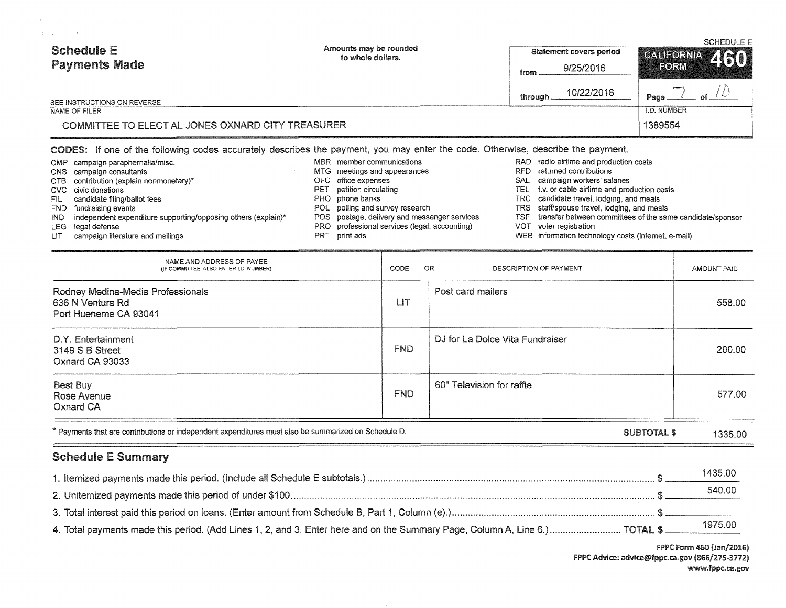| <b>Schedule E</b><br><b>Payments Made</b>         | Amounts may be rounded<br>to whole dollars. | <b>Statement covers period</b> | CALIFORNIA 460 |  |  |
|---------------------------------------------------|---------------------------------------------|--------------------------------|----------------|--|--|
|                                                   |                                             | 9/25/2016<br>from              | FORM           |  |  |
| SEE INSTRUCTIONS ON REVERSE                       |                                             | 10/22/2016<br>through          | Page           |  |  |
| NAME OF FILER                                     |                                             |                                |                |  |  |
| COMMITTEE TO ELECT AL JONES OXNARD CITY TREASURER |                                             |                                |                |  |  |

## CODES: If one of the following codes accurately describes the payment, you may enter the code. Otherwise, describe the payment.

|       | CMP campaign paraphernalia/misc.                                  |     | MBR member communications                     | RAD radio airtime and production costs                        |
|-------|-------------------------------------------------------------------|-----|-----------------------------------------------|---------------------------------------------------------------|
|       | CNS campaign consultants                                          |     | MTG meetings and appearances                  | RFD returned contributions                                    |
|       | CTB contribution (explain nonmonetary)*                           |     | OFC office expenses                           | SAL campaign workers' salaries                                |
|       | CVC civic donations                                               | PE1 | petition circulating                          | TEL t.v. or cable airtime and production costs                |
| FIL - | candidate filing/ballot fees                                      |     | PHO phone banks                               | TRC candidate travel, lodging, and meals                      |
|       | FND fundraising events                                            |     | POL polling and survey research               | TRS staff/spouse travel, lodging, and meals                   |
|       | IND independent expenditure supporting/opposing others (explain)* |     | POS postage, delivery and messenger services  | TSF transfer between committees of the same candidate/sponsor |
|       | LEG legal defense                                                 |     | PRO professional services (legal, accounting) | VOT voter registration                                        |
| LIT   | campaign literature and mailings                                  | PRT | print ads                                     | WEB information technology costs (internet, e-mail)           |

| NAME AND ADDRESS OF PAYEE<br>(IF COMMITTEE, ALSO ENTER I.D. NUMBER)                                                        | CODE | OR<br>DESCRIPTION OF PAYMENT    | AMOUNT PAID |  |
|----------------------------------------------------------------------------------------------------------------------------|------|---------------------------------|-------------|--|
| Rodney Medina-Media Professionals<br>636 N Ventura Rd<br>Port Hueneme CA 93041                                             | LIT  | Post card mailers               | 558.00      |  |
| D.Y. Entertainment<br>3149 S B Street<br>Oxnard CA 93033                                                                   | FND. | DJ for La Dolce Vita Fundraiser | 200.00      |  |
| Best Buy<br><b>Rose Avenue</b><br>Oxnard CA                                                                                | FND. | 60" Television for raffle       | 577.00      |  |
| * Payments that are contributions or independent expenditures must also be summarized on Schedule D.<br><b>SUBTOTAL \$</b> |      |                                 |             |  |

# Schedule E Summary

 $\Delta\mathbf{y}$  and  $\Delta\mathbf{y}$  are the set of  $\mathbf{y}$ 

|                                                                                                                             | 1435.00 |
|-----------------------------------------------------------------------------------------------------------------------------|---------|
|                                                                                                                             | 540.00  |
|                                                                                                                             |         |
| 4. Total payments made this period. (Add Lines 1, 2, and 3. Enter here and on the Summary Page, Column A, Line 6.) TOTAL \$ |         |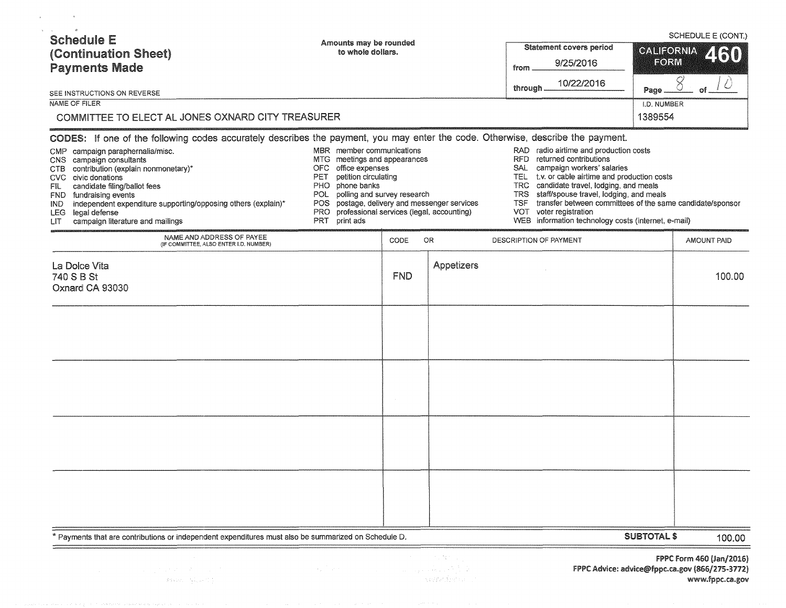| <b>Schedule E</b><br>(Continuation Sheet)<br><b>Payments Made</b><br>SEE INSTRUCTIONS ON REVERSE<br>NAME OF FILER<br>COMMITTEE TO ELECT AL JONES OXNARD CITY TREASURER<br>CODES: If one of the following codes accurately describes the payment, you may enter the code. Otherwise, describe the payment.<br>CMP campaign paraphernalia/misc. | Amounts may be rounded<br>to whole dollars.<br>MBR member communications                                                                                                                                                                                   |      |                   | Statement covers period<br>9/25/2016<br>from<br>10/22/2016<br>through.<br>RAD radio airtime and production costs                                                                                                                                                                                                                                                | <b>CALIFORNIA</b><br>FORM<br>Page<br>I.D. NUMBER<br>1389554 | SCHEDULE E (CONT.)<br>8 |
|-----------------------------------------------------------------------------------------------------------------------------------------------------------------------------------------------------------------------------------------------------------------------------------------------------------------------------------------------|------------------------------------------------------------------------------------------------------------------------------------------------------------------------------------------------------------------------------------------------------------|------|-------------------|-----------------------------------------------------------------------------------------------------------------------------------------------------------------------------------------------------------------------------------------------------------------------------------------------------------------------------------------------------------------|-------------------------------------------------------------|-------------------------|
| CNS campaign consultants<br>CTB contribution (explain nonmonetary)*<br>CVC civic donations<br>candidate filing/ballot fees<br>FIL -<br>FND fundraising events<br>independent expenditure supporting/opposing others (explain)*<br>IND -<br>LEG legal defense<br>campaign literature and mailings<br>LIT -                                     | MTG meetings and appearances<br>OFC office expenses<br>petition circulating<br>PET<br>PHO phone banks<br>POL polling and survey research<br>POS postage, delivery and messenger services<br>PRO professional services (legal, accounting)<br>PRT print ads |      |                   | RFD returned contributions<br>SAL campaign workers' salaries<br>TEL t.v. or cable airtime and production costs<br>TRC candidate travel, lodging, and meals<br>TRS staff/spouse travel, lodging, and meals<br>transfer between committees of the same candidate/sponsor<br>TSF.<br>VOT voter registration<br>WEB information technology costs (internet, e-mail) |                                                             |                         |
| NAME AND ADDRESS OF PAYEE<br>(IF COMMITTEE, ALSO ENTER I.D. NUMBER)                                                                                                                                                                                                                                                                           |                                                                                                                                                                                                                                                            | CODE | 0R                | DESCRIPTION OF PAYMENT                                                                                                                                                                                                                                                                                                                                          |                                                             | <b>AMOUNT PAID</b>      |
| La Dolce Vita<br>740 S B St<br>Oxnard CA 93030                                                                                                                                                                                                                                                                                                |                                                                                                                                                                                                                                                            | FND  | <b>Appetizers</b> |                                                                                                                                                                                                                                                                                                                                                                 |                                                             | 100.00                  |
|                                                                                                                                                                                                                                                                                                                                               |                                                                                                                                                                                                                                                            |      |                   |                                                                                                                                                                                                                                                                                                                                                                 |                                                             |                         |
|                                                                                                                                                                                                                                                                                                                                               |                                                                                                                                                                                                                                                            |      |                   |                                                                                                                                                                                                                                                                                                                                                                 |                                                             |                         |
|                                                                                                                                                                                                                                                                                                                                               |                                                                                                                                                                                                                                                            |      |                   |                                                                                                                                                                                                                                                                                                                                                                 |                                                             |                         |
|                                                                                                                                                                                                                                                                                                                                               |                                                                                                                                                                                                                                                            |      |                   |                                                                                                                                                                                                                                                                                                                                                                 |                                                             |                         |
| * Payments that are contributions or independent expenditures must also be summarized on Schedule D.                                                                                                                                                                                                                                          |                                                                                                                                                                                                                                                            |      |                   |                                                                                                                                                                                                                                                                                                                                                                 | <b>SUBTOTAL \$</b>                                          | 100.00                  |

 $\label{eq:3} \mathcal{L}(\mathcal{G}(\mathbf{s}^1;\mathbf{z})) = \mathcal{V}^{\mathcal{L}}_{\mathbf{s},\mathbf{s}}(\mathbf{s}^1;\mathbf{z}^2)$ 

 $\mathcal{L}$ 

 $\sim$   $\alpha$ 

 $\sim 2.38\%$  . 

FPPC form 460 (Jan/2016) FPPC Advice: advice@fppc.ca.gov (866/275-3772) www.fppc.ca.gov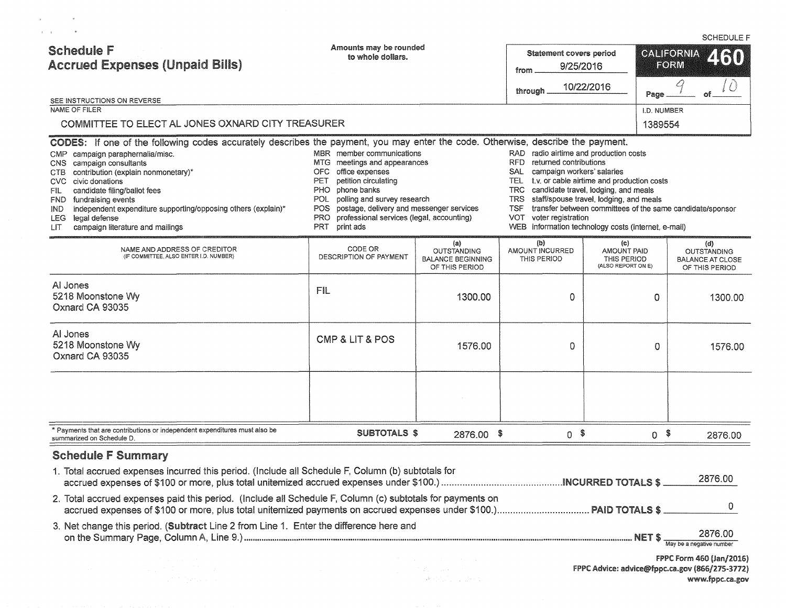| <b>Schedule F</b><br><b>Accrued Expenses (Unpaid Bills)</b><br>SEE INSTRUCTIONS ON REVERSE                                                                                                                                                                                                                                                                                                                                                                                                      | Amounts may be rounded<br>to whole dollars.                                                                                                                                                                                                                                                                                                                                                                                        |                                                                                                                                                         | <b>Statement covers period</b><br>9/25/2016<br>from<br>through | 10/22/2016                                                                     | Page           | <b>CALIFORNIA</b><br>2130<br>FORM                                                             |
|-------------------------------------------------------------------------------------------------------------------------------------------------------------------------------------------------------------------------------------------------------------------------------------------------------------------------------------------------------------------------------------------------------------------------------------------------------------------------------------------------|------------------------------------------------------------------------------------------------------------------------------------------------------------------------------------------------------------------------------------------------------------------------------------------------------------------------------------------------------------------------------------------------------------------------------------|---------------------------------------------------------------------------------------------------------------------------------------------------------|----------------------------------------------------------------|--------------------------------------------------------------------------------|----------------|-----------------------------------------------------------------------------------------------|
| NAME OF FILER                                                                                                                                                                                                                                                                                                                                                                                                                                                                                   |                                                                                                                                                                                                                                                                                                                                                                                                                                    |                                                                                                                                                         |                                                                |                                                                                | I.D. NUMBER    |                                                                                               |
| COMMITTEE TO ELECT AL JONES OXNARD CITY TREASURER                                                                                                                                                                                                                                                                                                                                                                                                                                               |                                                                                                                                                                                                                                                                                                                                                                                                                                    |                                                                                                                                                         |                                                                |                                                                                | 1389554        |                                                                                               |
| CODES: If one of the following codes accurately describes the payment, you may enter the code. Otherwise, describe the payment.<br>CMP campaign paraphernalia/misc.<br>campaign consultants<br>CNS.<br>contribution (explain nonmonetary)*<br>CTB.<br>civic donations<br>CVC.<br>candidate filing/ballot fees<br>FIL<br>fundraising events<br>FND.<br>independent expenditure supporting/opposing others (explain)*<br>IND.<br>legal defense<br>LEG.<br>campaign literature and mailings<br>LIТ | RAD radio airtime and production costs<br><b>RFD</b><br>returned contributions<br>campaign workers' salaries<br>SAL.<br>TEL t.v. or cable airtime and production costs<br>candidate travel, lodging, and meals<br>TRC.<br>staff/spouse travel, lodging, and meals<br>TRS.<br>transfer between committees of the same candidate/sponsor<br>TSF<br>voter registration<br>VOT.<br>WEB information technology costs (internet, e-mail) |                                                                                                                                                         |                                                                |                                                                                |                |                                                                                               |
| NAME AND ADDRESS OF CREDITOR<br>(IF COMMITTEE, ALSO ENTER I.D. NUMBER)                                                                                                                                                                                                                                                                                                                                                                                                                          | CODE OR<br>DESCRIPTION OF PAYMENT                                                                                                                                                                                                                                                                                                                                                                                                  | (a)<br><b>OUTSTANDING</b><br><b>BALANCE BEGINNING</b><br>OF THIS PERIOD                                                                                 | (b)<br>AMOUNT INCURRED<br>THIS PERIOD                          | $\langle c \rangle$<br><b>AMOUNT PAID</b><br>THIS PERIOD<br>(ALSO REPORT ON E) |                | (d)<br><b>OUTSTANDING</b><br><b>BALANCE AT CLOSE</b><br>OF THIS PERIOD                        |
| Al Jones<br>5218 Moonstone Wy<br>Oxnard CA 93035                                                                                                                                                                                                                                                                                                                                                                                                                                                | FIL                                                                                                                                                                                                                                                                                                                                                                                                                                | 1300.00                                                                                                                                                 | 0                                                              |                                                                                | 0              | 1300.00                                                                                       |
| Al Jones<br>5218 Moonstone Wy<br>Oxnard CA 93035                                                                                                                                                                                                                                                                                                                                                                                                                                                | <b>CMP &amp; LIT &amp; POS</b>                                                                                                                                                                                                                                                                                                                                                                                                     | 1576.00                                                                                                                                                 | 0                                                              |                                                                                | 0              | 1576.00                                                                                       |
|                                                                                                                                                                                                                                                                                                                                                                                                                                                                                                 |                                                                                                                                                                                                                                                                                                                                                                                                                                    |                                                                                                                                                         |                                                                |                                                                                |                |                                                                                               |
| * Payments that are contributions or independent expenditures must also be<br>summarized on Schedule D.                                                                                                                                                                                                                                                                                                                                                                                         | <b>SUBTOTALS \$</b>                                                                                                                                                                                                                                                                                                                                                                                                                | 2876.00 \$                                                                                                                                              | $0$ \$                                                         |                                                                                | 0 <sup>5</sup> | 2876.00                                                                                       |
| <b>Schedule F Summary</b><br>1. Total accrued expenses incurred this period. (Include all Schedule F, Column (b) subtotals for                                                                                                                                                                                                                                                                                                                                                                  |                                                                                                                                                                                                                                                                                                                                                                                                                                    |                                                                                                                                                         |                                                                |                                                                                |                | 2876.00                                                                                       |
| 2. Total accrued expenses paid this period. (Include all Schedule F, Column (c) subtotals for payments on                                                                                                                                                                                                                                                                                                                                                                                       |                                                                                                                                                                                                                                                                                                                                                                                                                                    |                                                                                                                                                         |                                                                |                                                                                |                |                                                                                               |
| 3. Net change this period. (Subtract Line 2 from Line 1. Enter the difference here and                                                                                                                                                                                                                                                                                                                                                                                                          |                                                                                                                                                                                                                                                                                                                                                                                                                                    |                                                                                                                                                         |                                                                |                                                                                |                | 2876.00<br>May be a negative number                                                           |
| atan ing Kabupatèn<br>Kabupatèn Kabupatèn                                                                                                                                                                                                                                                                                                                                                                                                                                                       |                                                                                                                                                                                                                                                                                                                                                                                                                                    | $\label{eq:2.1} \mathcal{L}_{\text{eff}}^{\text{C}}(z) = \mathcal{L}_{\text{eff}}(z) \left( z - \mathcal{L}_{\text{eff}}(z) \right)$<br>Desperator Land |                                                                |                                                                                |                | FPPC Form 460 (Jan/2016)<br>FPPC Advice: advice@fppc.ca.gov (866/275-3772)<br>www.fppc.ca.gov |

 $\mathcal{A}^{\text{max}}_{\text{max}}$  and  $\mathcal{A}^{\text{max}}_{\text{max}}$ 

### SCHEDULE F